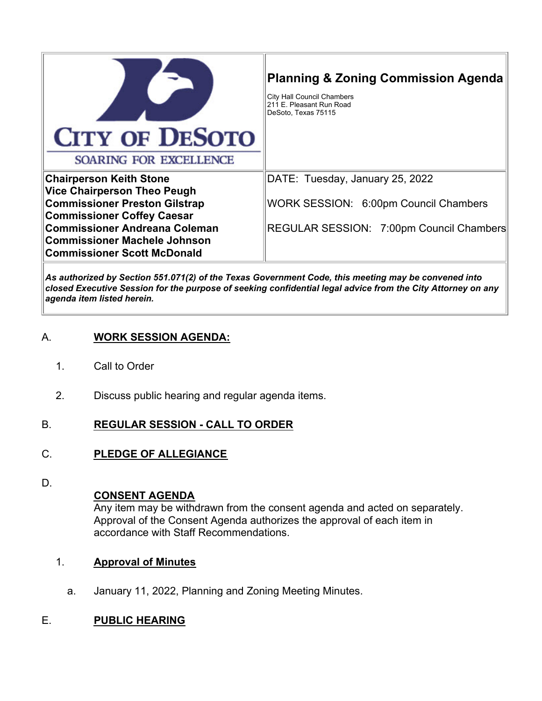|                                                                           | <b>Planning &amp; Zoning Commission Agenda</b><br><b>City Hall Council Chambers</b><br>211 E. Pleasant Run Road<br>DeSoto, Texas 75115 |
|---------------------------------------------------------------------------|----------------------------------------------------------------------------------------------------------------------------------------|
| <b>CITY OF DESOTO</b>                                                     |                                                                                                                                        |
| SOARING FOR EXCELLENCE                                                    |                                                                                                                                        |
| <b>Chairperson Keith Stone</b>                                            | DATE: Tuesday, January 25, 2022                                                                                                        |
| <b>Vice Chairperson Theo Peugh</b>                                        |                                                                                                                                        |
| <b>Commissioner Preston Gilstrap</b><br><b>Commissioner Coffey Caesar</b> | WORK SESSION: 6:00pm Council Chambers                                                                                                  |
| <b>Commissioner Andreana Coleman</b>                                      | REGULAR SESSION: 7:00pm Council Chambers                                                                                               |
| <b>Commissioner Machele Johnson</b>                                       |                                                                                                                                        |
| <b>Commissioner Scott McDonald</b>                                        |                                                                                                                                        |
|                                                                           |                                                                                                                                        |

*As authorized by Section 551.071(2) of the Texas Government Code, this meeting may be convened into closed Executive Session for the purpose of seeking confidential legal advice from the City Attorney on any agenda item listed herein.*

## A. **WORK SESSION AGENDA:**

- 1. Call to Order
- 2. Discuss public hearing and regular agenda items.

#### B. **REGULAR SESSION - CALL TO ORDER**

## C. **PLEDGE OF ALLEGIANCE**

D.

#### **CONSENT AGENDA**

Any item may be withdrawn from the consent agenda and acted on separately. Approval of the Consent Agenda authorizes the approval of each item in accordance with Staff Recommendations.

#### 1. **Approval of Minutes**

a. January 11, 2022, Planning and Zoning Meeting Minutes.

#### E. **PUBLIC HEARING**